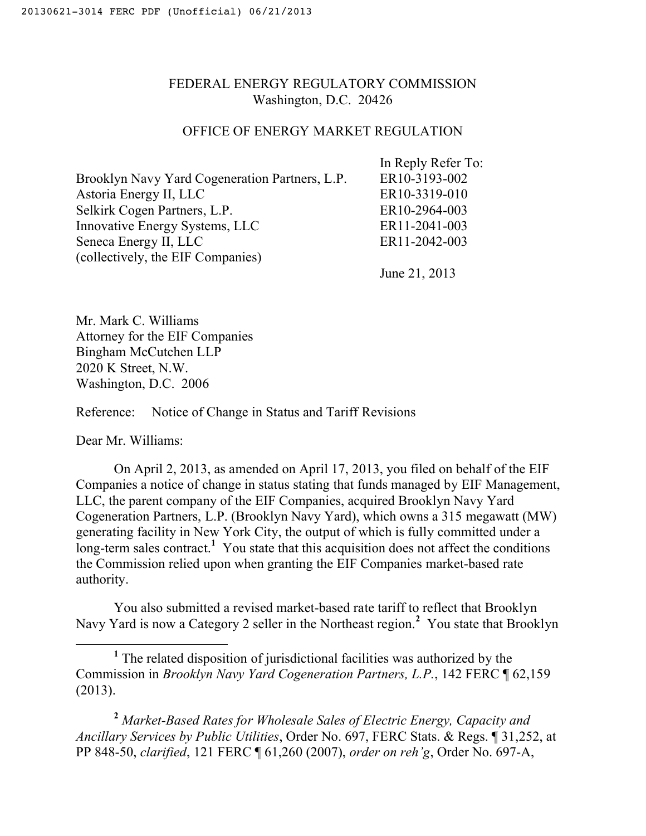## FEDERAL ENERGY REGULATORY COMMISSION Washington, D.C. 20426

## OFFICE OF ENERGY MARKET REGULATION

|                                                | In Reply Refer To: |
|------------------------------------------------|--------------------|
| Brooklyn Navy Yard Cogeneration Partners, L.P. | ER10-3193-002      |
| Astoria Energy II, LLC                         | ER10-3319-010      |
| Selkirk Cogen Partners, L.P.                   | ER10-2964-003      |
| Innovative Energy Systems, LLC                 | ER11-2041-003      |
| Seneca Energy II, LLC                          | ER11-2042-003      |
| (collectively, the EIF Companies)              |                    |
|                                                | June 21, 2013      |

Mr. Mark C. Williams Attorney for the EIF Companies Bingham McCutchen LLP 2020 K Street, N.W. Washington, D.C. 2006

Reference: Notice of Change in Status and Tariff Revisions

Dear Mr. Williams:

On April 2, 2013, as amended on April 17, 2013, you filed on behalf of the EIF Companies a notice of change in status stating that funds managed by EIF Management, LLC, the parent company of the EIF Companies, acquired Brooklyn Navy Yard Cogeneration Partners, L.P. (Brooklyn Navy Yard), which owns a 315 megawatt (MW) generating facility in New York City, the output of which is fully committed under a long-term sales contract.<sup>1</sup> You state that this acquisition does not affect the conditions the Commission relied upon when granting the EIF Companies market-based rate authority.

You also submitted a revised market-based rate tariff to reflect that Brooklyn Navy Yard is now a Category 2 seller in the Northeast region.**<sup>2</sup>** You state that Brooklyn

<u>1</u> <sup>1</sup> The related disposition of jurisdictional facilities was authorized by the Commission in *Brooklyn Navy Yard Cogeneration Partners, L.P.*, 142 FERC ¶ 62,159 (2013).

**<sup>2</sup>** *Market-Based Rates for Wholesale Sales of Electric Energy, Capacity and Ancillary Services by Public Utilities*, Order No. 697, FERC Stats. & Regs. ¶ 31,252, at PP 848-50, *clarified*, 121 FERC ¶ 61,260 (2007), *order on reh'g*, Order No. 697-A,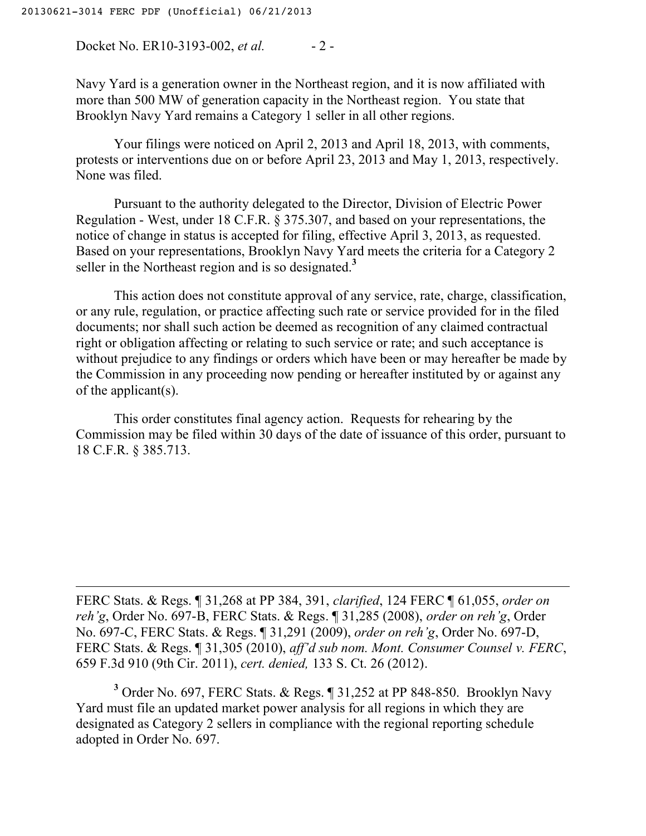$\overline{a}$ 

Docket No. ER10-3193-002, *et al.* - 2 -

Navy Yard is a generation owner in the Northeast region, and it is now affiliated with more than 500 MW of generation capacity in the Northeast region. You state that Brooklyn Navy Yard remains a Category 1 seller in all other regions.

Your filings were noticed on April 2, 2013 and April 18, 2013, with comments, protests or interventions due on or before April 23, 2013 and May 1, 2013, respectively. None was filed.

Pursuant to the authority delegated to the Director, Division of Electric Power Regulation - West, under 18 C.F.R. § 375.307, and based on your representations, the notice of change in status is accepted for filing, effective April 3, 2013, as requested. Based on your representations, Brooklyn Navy Yard meets the criteria for a Category 2 seller in the Northeast region and is so designated.**<sup>3</sup>**

This action does not constitute approval of any service, rate, charge, classification, or any rule, regulation, or practice affecting such rate or service provided for in the filed documents; nor shall such action be deemed as recognition of any claimed contractual right or obligation affecting or relating to such service or rate; and such acceptance is without prejudice to any findings or orders which have been or may hereafter be made by the Commission in any proceeding now pending or hereafter instituted by or against any of the applicant(s).

This order constitutes final agency action. Requests for rehearing by the Commission may be filed within 30 days of the date of issuance of this order, pursuant to 18 C.F.R. § 385.713.

FERC Stats. & Regs. ¶ 31,268 at PP 384, 391, *clarified*, 124 FERC ¶ 61,055, *order on reh'g*, Order No. 697-B, FERC Stats. & Regs. ¶ 31,285 (2008), *order on reh'g*, Order No. 697-C, FERC Stats. & Regs. ¶ 31,291 (2009), *order on reh'g*, Order No. 697-D, FERC Stats. & Regs. ¶ 31,305 (2010), *aff'd sub nom. Mont. Consumer Counsel v. FERC*, 659 F.3d 910 (9th Cir. 2011), *cert. denied,* 133 S. Ct. 26 (2012).

**3** Order No. 697, FERC Stats. & Regs. ¶ 31,252 at PP 848-850. Brooklyn Navy Yard must file an updated market power analysis for all regions in which they are designated as Category 2 sellers in compliance with the regional reporting schedule adopted in Order No. 697.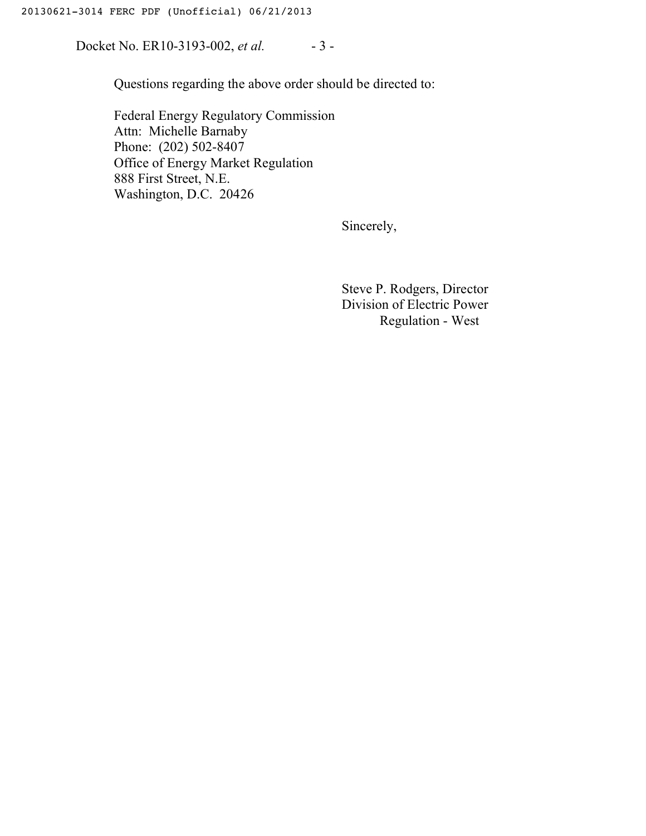Docket No. ER10-3193-002, *et al.* - 3 -

Questions regarding the above order should be directed to:

Federal Energy Regulatory Commission Attn: Michelle Barnaby Phone: (202) 502-8407 Office of Energy Market Regulation 888 First Street, N.E. Washington, D.C. 20426

Sincerely,

Steve P. Rodgers, Director Division of Electric Power Regulation - West